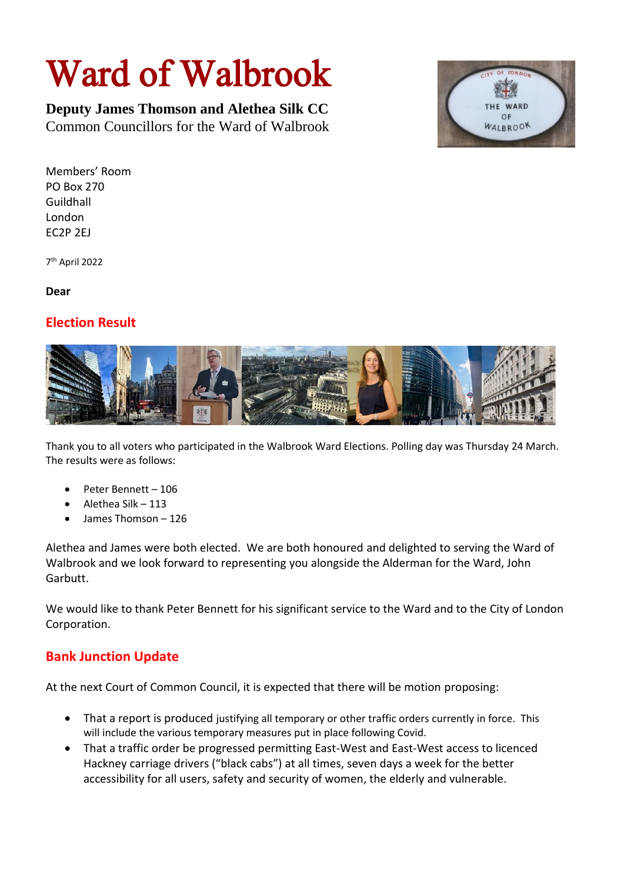## Ward of Walbrook

**Deputy James Thomson and Alethea Silk CC** Common Councillors for the Ward of Walbrook



Members' Room PO Box 270 Guildhall London EC2P 2EJ

7 th April 2022

**Dear**

## **Election Result**



Thank you to all voters who participated in the Walbrook Ward Elections. Polling day was Thursday 24 March. The results were as follows:

- Peter Bennett 106
- Alethea Silk 113
- James Thomson 126

Alethea and James were both elected. We are both honoured and delighted to serving the Ward of Walbrook and we look forward to representing you alongside the Alderman for the Ward, John Garbutt.

We would like to thank Peter Bennett for his significant service to the Ward and to the City of London Corporation.

## **Bank Junction Update**

At the next Court of Common Council, it is expected that there will be motion proposing:

- That a report is produced justifying all temporary or other traffic orders currently in force. This will include the various temporary measures put in place following Covid.
- That a traffic order be progressed permitting East-West and East-West access to licenced Hackney carriage drivers ("black cabs") at all times, seven days a week for the better accessibility for all users, safety and security of women, the elderly and vulnerable.